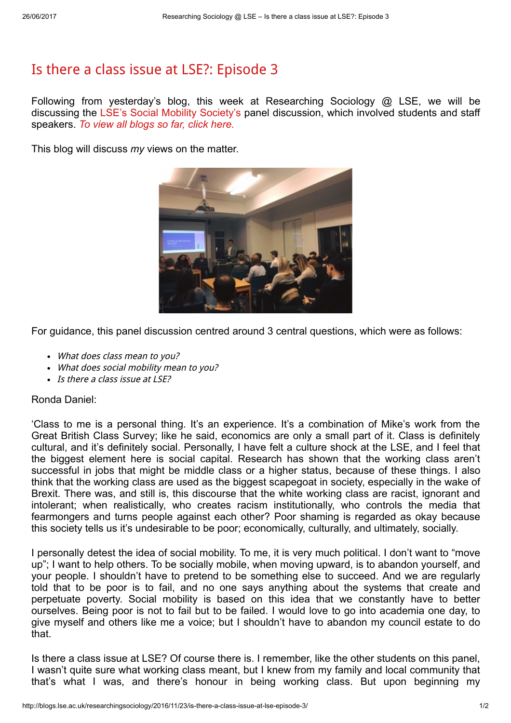## Is there a class issue at LSE?: [Episode](http://blogs.lse.ac.uk/researchingsociology/2016/11/23/is-there-a-class-issue-at-lse-episode-3/) 3

Following from yesterday's blog, this week at Researching Sociology @ LSE, we will be discussing the LSE's Social Mobility [Society's](https://www.facebook.com/LSESUSocialMobilitySoc/) panel discussion, which involved students and staff speakers. To view all [blogs](http://blogs.lse.ac.uk/researchingsociology/) so far, click here.

This blog will discuss my views on the matter.



For guidance, this panel discussion centred around 3 central questions, which were as follows:

- What does class mean to you?
- What does social mobility mean to you?
- Is there a class issue at LSE?

## Ronda Daniel:

'Class to me is a personal thing. It's an experience. It's a combination of Mike's work from the Great British Class Survey; like he said, economics are only a small part of it. Class is definitely cultural, and it's definitely social. Personally, I have felt a culture shock at the LSE, and I feel that the biggest element here is social capital. Research has shown that the working class aren't successful in jobs that might be middle class or a higher status, because of these things. I also think that the working class are used as the biggest scapegoat in society, especially in the wake of Brexit. There was, and still is, this discourse that the white working class are racist, ignorant and intolerant; when realistically, who creates racism institutionally, who controls the media that fearmongers and turns people against each other? Poor shaming is regarded as okay because this society tells us it's undesirable to be poor; economically, culturally, and ultimately, socially.

I personally detest the idea of social mobility. To me, it is very much political. I don't want to "move up"; I want to help others. To be socially mobile, when moving upward, is to abandon yourself, and your people. I shouldn't have to pretend to be something else to succeed. And we are regularly told that to be poor is to fail, and no one says anything about the systems that create and perpetuate poverty. Social mobility is based on this idea that we constantly have to better ourselves. Being poor is not to fail but to be failed. I would love to go into academia one day, to give myself and others like me a voice; but I shouldn't have to abandon my council estate to do that.

Is there a class issue at LSE? Of course there is. I remember, like the other students on this panel, I wasn't quite sure what working class meant, but I knew from my family and local community that that's what I was, and there's honour in being working class. But upon beginning my